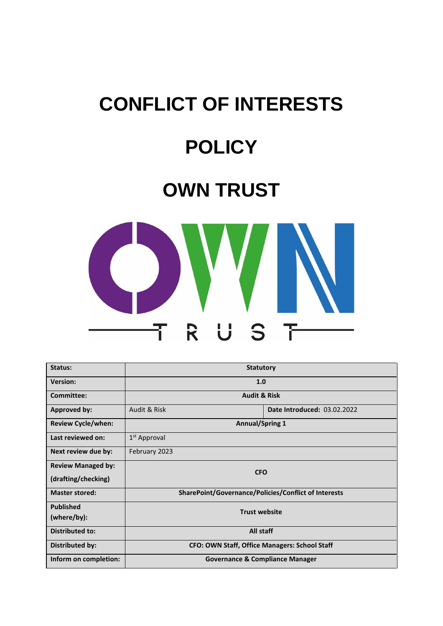# **CONFLICT OF INTERESTS**

## **POLICY**

### **OWN TRUST**



| Status:                   | <b>Statutory</b>                                     |                             |
|---------------------------|------------------------------------------------------|-----------------------------|
| <b>Version:</b>           | 1.0                                                  |                             |
| Committee:                | <b>Audit &amp; Risk</b>                              |                             |
| Approved by:              | Audit & Risk                                         | Date Introduced: 03.02.2022 |
| <b>Review Cycle/when:</b> | <b>Annual/Spring 1</b>                               |                             |
| Last reviewed on:         | 1 <sup>st</sup> Approval                             |                             |
| Next review due by:       | February 2023                                        |                             |
| <b>Review Managed by:</b> | <b>CFO</b>                                           |                             |
| (drafting/checking)       |                                                      |                             |
| <b>Master stored:</b>     | SharePoint/Governance/Policies/Conflict of Interests |                             |
| <b>Published</b>          | <b>Trust website</b>                                 |                             |
| (where/by):               |                                                      |                             |
| <b>Distributed to:</b>    | All staff                                            |                             |
| Distributed by:           | <b>CFO: OWN Staff, Office Managers: School Staff</b> |                             |
| Inform on completion:     | <b>Governance &amp; Compliance Manager</b>           |                             |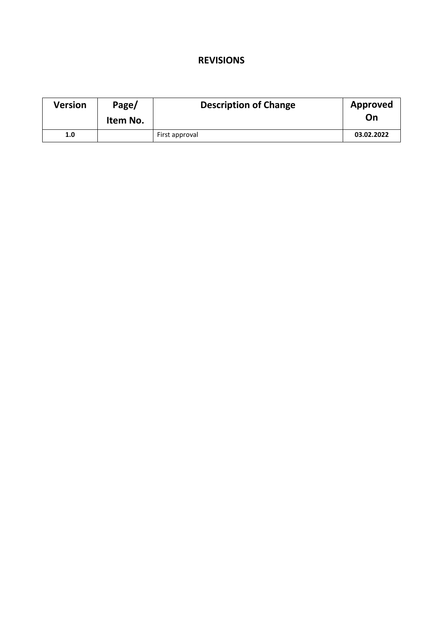#### **REVISIONS**

| Version | Page/<br>Item No. | <b>Description of Change</b> | Approved<br>On |
|---------|-------------------|------------------------------|----------------|
| 1.0     |                   | First approval               | 03.02.2022     |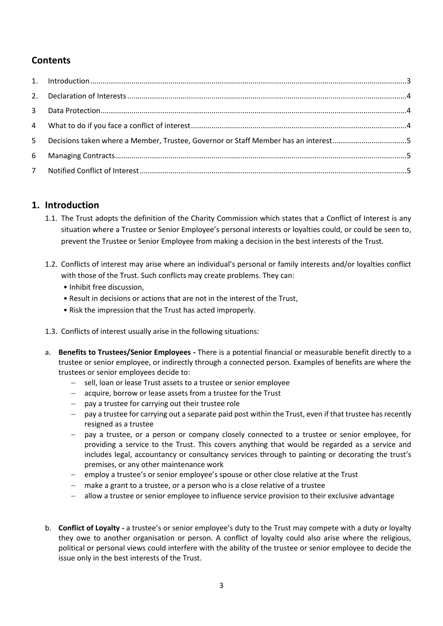#### **Contents**

| 5 Decisions taken where a Member, Trustee, Governor or Staff Member has an interest5 |  |
|--------------------------------------------------------------------------------------|--|
|                                                                                      |  |
|                                                                                      |  |

#### **1. Introduction**

- 1.1. The Trust adopts the definition of the Charity Commission which states that a Conflict of Interest is any situation where a Trustee or Senior Employee's personal interests or loyalties could, or could be seen to, prevent the Trustee or Senior Employee from making a decision in the best interests of the Trust.
- 1.2. Conflicts of interest may arise where an individual's personal or family interests and/or loyalties conflict with those of the Trust. Such conflicts may create problems. They can:
	- Inhibit free discussion,
	- Result in decisions or actions that are not in the interest of the Trust,
	- Risk the impression that the Trust has acted improperly.
- 1.3. Conflicts of interest usually arise in the following situations:
- a. **Benefits to Trustees/Senior Employees -** There is a potential financial or measurable benefit directly to a trustee or senior employee, or indirectly through a connected person. Examples of benefits are where the trustees or senior employees decide to:
	- − sell, loan or lease Trust assets to a trustee or senior employee
	- − acquire, borrow or lease assets from a trustee for the Trust
	- − pay a trustee for carrying out their trustee role
	- − pay a trustee for carrying out a separate paid post within the Trust, even if that trustee has recently resigned as a trustee
	- − pay a trustee, or a person or company closely connected to a trustee or senior employee, for providing a service to the Trust. This covers anything that would be regarded as a service and includes legal, accountancy or consultancy services through to painting or decorating the trust's premises, or any other maintenance work
	- − employ a trustee's or senior employee's spouse or other close relative at the Trust
	- − make a grant to a trustee, or a person who is a close relative of a trustee
	- − allow a trustee or senior employee to influence service provision to their exclusive advantage
- b. **Conflict of Loyalty -** a trustee's or senior employee's duty to the Trust may compete with a duty or loyalty they owe to another organisation or person. A conflict of loyalty could also arise where the religious, political or personal views could interfere with the ability of the trustee or senior employee to decide the issue only in the best interests of the Trust.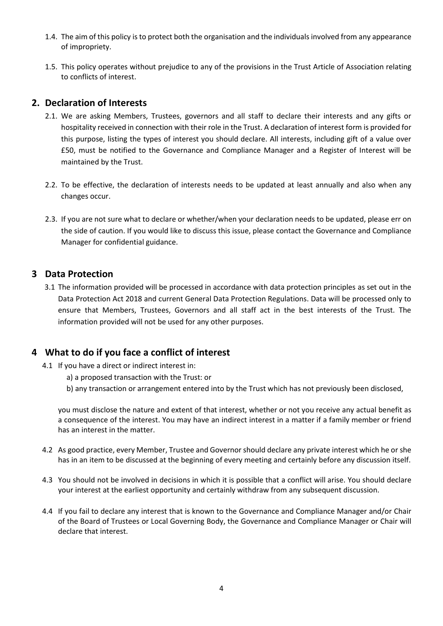- 1.4. The aim of this policy is to protect both the organisation and the individuals involved from any appearance of impropriety.
- 1.5. This policy operates without prejudice to any of the provisions in the Trust Article of Association relating to conflicts of interest.

#### **2. Declaration of Interests**

- 2.1. We are asking Members, Trustees, governors and all staff to declare their interests and any gifts or hospitality received in connection with their role in the Trust. A declaration of interest form is provided for this purpose, listing the types of interest you should declare. All interests, including gift of a value over £50, must be notified to the Governance and Compliance Manager and a Register of Interest will be maintained by the Trust.
- 2.2. To be effective, the declaration of interests needs to be updated at least annually and also when any changes occur.
- 2.3. If you are not sure what to declare or whether/when your declaration needs to be updated, please err on the side of caution. If you would like to discuss this issue, please contact the Governance and Compliance Manager for confidential guidance.

#### **3 Data Protection**

3.1 The information provided will be processed in accordance with data protection principles as set out in the Data Protection Act 2018 and current General Data Protection Regulations. Data will be processed only to ensure that Members, Trustees, Governors and all staff act in the best interests of the Trust. The information provided will not be used for any other purposes.

#### **4 What to do if you face a conflict of interest**

- 4.1 If you have a direct or indirect interest in:
	- a) a proposed transaction with the Trust: or
	- b) any transaction or arrangement entered into by the Trust which has not previously been disclosed,

you must disclose the nature and extent of that interest, whether or not you receive any actual benefit as a consequence of the interest. You may have an indirect interest in a matter if a family member or friend has an interest in the matter.

- 4.2 As good practice, every Member, Trustee and Governor should declare any private interest which he or she has in an item to be discussed at the beginning of every meeting and certainly before any discussion itself.
- 4.3 You should not be involved in decisions in which it is possible that a conflict will arise. You should declare your interest at the earliest opportunity and certainly withdraw from any subsequent discussion.
- 4.4 If you fail to declare any interest that is known to the Governance and Compliance Manager and/or Chair of the Board of Trustees or Local Governing Body, the Governance and Compliance Manager or Chair will declare that interest.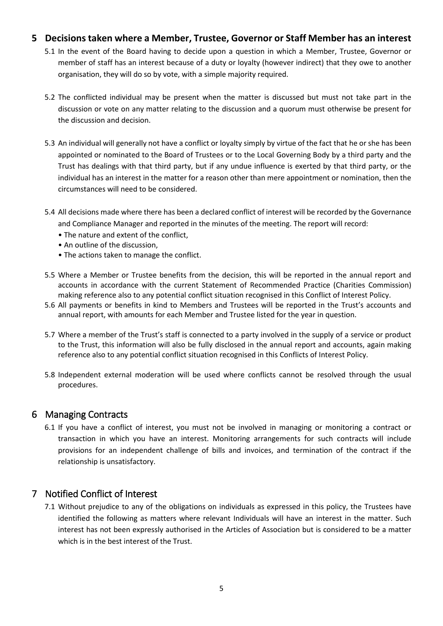#### **5 Decisions taken where a Member, Trustee, Governor or Staff Member has an interest**

- 5.1 In the event of the Board having to decide upon a question in which a Member, Trustee, Governor or member of staff has an interest because of a duty or loyalty (however indirect) that they owe to another organisation, they will do so by vote, with a simple majority required.
- 5.2 The conflicted individual may be present when the matter is discussed but must not take part in the discussion or vote on any matter relating to the discussion and a quorum must otherwise be present for the discussion and decision.
- 5.3 An individual will generally not have a conflict or loyalty simply by virtue of the fact that he or she has been appointed or nominated to the Board of Trustees or to the Local Governing Body by a third party and the Trust has dealings with that third party, but if any undue influence is exerted by that third party, or the individual has an interest in the matter for a reason other than mere appointment or nomination, then the circumstances will need to be considered.
- 5.4 All decisions made where there has been a declared conflict of interest will be recorded by the Governance and Compliance Manager and reported in the minutes of the meeting. The report will record:
	- The nature and extent of the conflict,
	- An outline of the discussion,
	- The actions taken to manage the conflict.
- 5.5 Where a Member or Trustee benefits from the decision, this will be reported in the annual report and accounts in accordance with the current Statement of Recommended Practice (Charities Commission) making reference also to any potential conflict situation recognised in this Conflict of Interest Policy.
- 5.6 All payments or benefits in kind to Members and Trustees will be reported in the Trust's accounts and annual report, with amounts for each Member and Trustee listed for the year in question.
- 5.7 Where a member of the Trust's staff is connected to a party involved in the supply of a service or product to the Trust, this information will also be fully disclosed in the annual report and accounts, again making reference also to any potential conflict situation recognised in this Conflicts of Interest Policy.
- 5.8 Independent external moderation will be used where conflicts cannot be resolved through the usual procedures.

#### 6 Managing Contracts

6.1 If you have a conflict of interest, you must not be involved in managing or monitoring a contract or transaction in which you have an interest. Monitoring arrangements for such contracts will include provisions for an independent challenge of bills and invoices, and termination of the contract if the relationship is unsatisfactory.

#### 7 Notified Conflict of Interest

7.1 Without prejudice to any of the obligations on individuals as expressed in this policy, the Trustees have identified the following as matters where relevant Individuals will have an interest in the matter. Such interest has not been expressly authorised in the Articles of Association but is considered to be a matter which is in the best interest of the Trust.